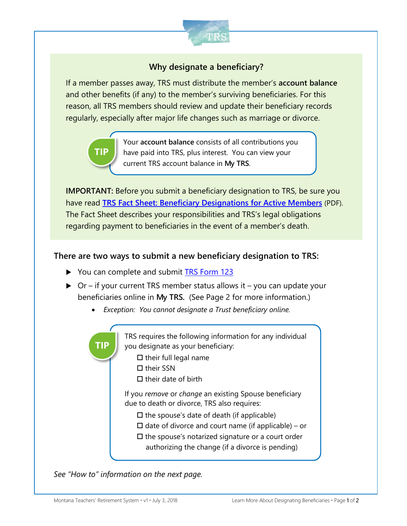

# **Why designate a beneficiary?**

If a member passes away, TRS must distribute the member's **account balance** and other benefits (if any) to the member's surviving beneficiaries. For this reason, all TRS members should review and update their beneficiary records regularly, especially after major life changes such as marriage or divorce.



Your **account balance** consists of all contributions you have paid into TRS, plus interest. You can view your current TRS account balance in **My TRS**.

**IMPORTANT:** Before you submit a beneficiary designation to TRS, be sure you have read **[TRS Fact Sheet: Beneficiary Designations for Active Members](https://trs.mt.gov/miscellaneous/PdfFiles/FactSheets/FS_Beneficiaries-Active.pdf)** (PDF). The Fact Sheet describes your responsibilities and TRS's legal obligations regarding payment to beneficiaries in the event of a member's death.

#### **There are two ways to submit a new beneficiary designation to TRS:**

- ▶ You can complete and submit **[TRS Form 123](https://trs.mt.gov/miscellaneous/PdfFiles/Forms/F-1-123_AMO.pdf)**
- $\triangleright$  Or if your current TRS member status allows it you can update your beneficiaries online in **My TRS.** (See Page 2 for more information.)
	- *Exception: You cannot designate a Trust beneficiary online.*

TRS requires the following information for any individual you designate as your beneficiary:  $\square$  their full legal name  $\Box$  their SSN  $\Pi$  their date of birth If you *remove* or *change* an existing Spouse beneficiary due to death or divorce, TRS also requires:  $\Box$  the spouse's date of death (if applicable)  $\Box$  date of divorce and court name (if applicable) – or  $\square$  the spouse's notarized signature or a court order authorizing the change (if a divorce is pending) **TIP**

*See "How to" information on the next page.*